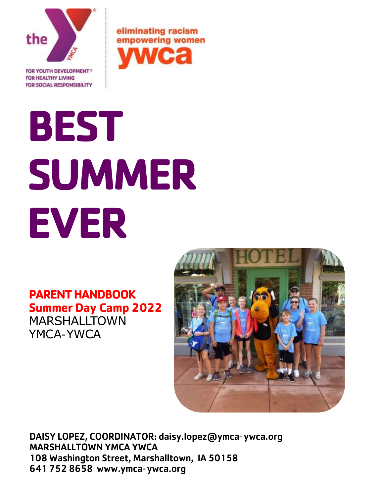

**FOR SOCIAL RESPONSIBILITY** 

eliminating racism empowering women

# **BEST SUMMER EVER**

# **PARENT HANDBOOK Summer Day Camp 2022** MARSHALLTOWN YMCA-YWCA



DAISY LOPEZ, COORDINATOR: daisy.lopez@ymca-ywca.org MARSHALLTOWN YMCA YWCA 108 Washington Street, Marshalltown, IA 50158 641 752 8658 www.ymca-ywca.org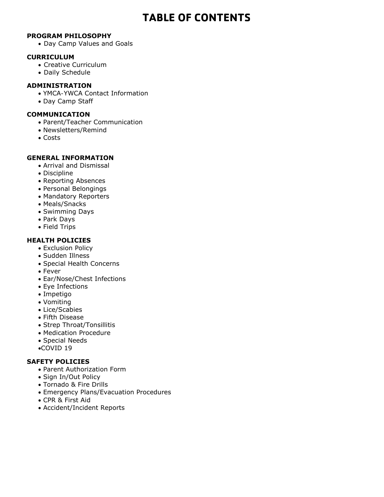# **TABLE OF CONTENTS**

## **PROGRAM PHILOSOPHY**

• Day Camp Values and Goals

#### **CURRICULUM**

- Creative Curriculum
- Daily Schedule

#### **ADMINISTRATION**

- YMCA-YWCA Contact Information
- Day Camp Staff

#### **COMMUNICATION**

- Parent/Teacher Communication
- Newsletters/Remind
- Costs

#### **GENERAL INFORMATION**

- Arrival and Dismissal
- Discipline
- Reporting Absences
- Personal Belongings
- Mandatory Reporters
- Meals/Snacks
- Swimming Days
- Park Days
- Field Trips

#### **HEALTH POLICIES**

- Exclusion Policy
- Sudden Illness
- Special Health Concerns
- Fever
- Ear/Nose/Chest Infections
- Eye Infections
- Impetigo
- Vomiting
- Lice/Scabies
- Fifth Disease
- Strep Throat/Tonsillitis
- Medication Procedure
- Special Needs
- •COVID 19

# **SAFETY POLICIES**

- Parent Authorization Form
- Sign In/Out Policy
- Tornado & Fire Drills
- Emergency Plans/Evacuation Procedures
- CPR & First Aid
- Accident/Incident Reports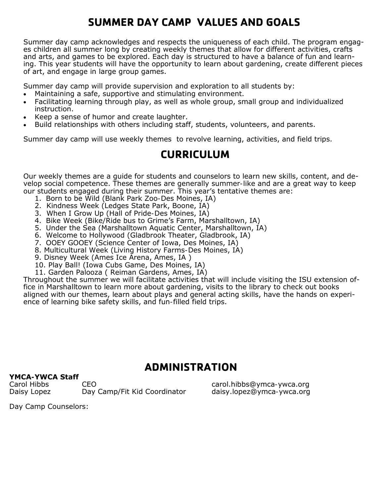# **SUMMER DAY CAMP VALUES AND GOALS**

Summer day camp acknowledges and respects the uniqueness of each child. The program engages children all summer long by creating weekly themes that allow for different activities, crafts and arts, and games to be explored. Each day is structured to have a balance of fun and learning. This year students will have the opportunity to learn about gardening, create different pieces of art, and engage in large group games.

Summer day camp will provide supervision and exploration to all students by:

- Maintaining a safe, supportive and stimulating environment.
- Facilitating learning through play, as well as whole group, small group and individualized instruction.
- Keep a sense of humor and create laughter.
- Build relationships with others including staff, students, volunteers, and parents.

Summer day camp will use weekly themes to revolve learning, activities, and field trips.

# **CURRICULUM**

Our weekly themes are a guide for students and counselors to learn new skills, content, and develop social competence. These themes are generally summer-like and are a great way to keep our students engaged during their summer. This year's tentative themes are:

- 1. Born to be Wild (Blank Park Zoo-Des Moines, IA)
- 2. Kindness Week (Ledges State Park, Boone, IA)
- 3. When I Grow Up (Hall of Pride-Des Moines, IA)
- 4. Bike Week (Bike/Ride bus to Grime's Farm, Marshalltown, IA)
- 5. Under the Sea (Marshalltown Aquatic Center, Marshalltown, IA)
- 6. Welcome to Hollywood (Gladbrook Theater, Gladbrook, IA)
- 7. OOEY GOOEY (Science Center of Iowa, Des Moines, IA)
- 8. Multicultural Week (Living History Farms-Des Moines, IA)
- 9. Disney Week (Ames Ice Arena, Ames, IA )
- 10. Play Ball! (Iowa Cubs Game, Des Moines, IA)
- 11. Garden Palooza ( Reiman Gardens, Ames, IA)

Throughout the summer we will facilitate activities that will include visiting the ISU extension office in Marshalltown to learn more about gardening, visits to the library to check out books aligned with our themes, learn about plays and general acting skills, have the hands on experience of learning bike safety skills, and fun-filled field trips.

# **ADMINISTRATION**

# **YMCA-YWCA Staff**

Carol Hibbs CEO carol.hibbs@ymca-ywca.org Daisy Lopez Day Camp/Fit Kid Coordinator daisy.lopez@ymca-ywca.org

Day Camp Counselors: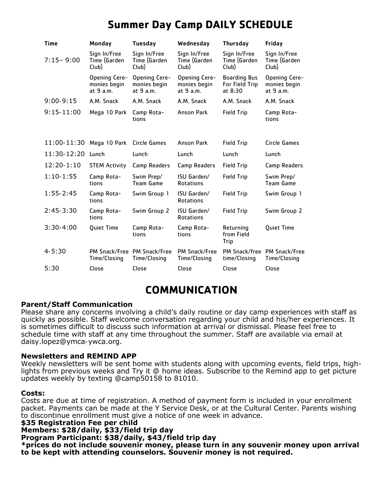| <b>Time</b>   | Monday                                     | <b>Tuesday</b>                              | Wednesday                                  | <b>Thursday</b>                                    | Friday                                      |
|---------------|--------------------------------------------|---------------------------------------------|--------------------------------------------|----------------------------------------------------|---------------------------------------------|
| $7:15 - 9:00$ | Sign In/Free<br>Time (Garden<br>Club)      | Sign In/Free<br>Time (Garden<br>Club)       | Sign In/Free<br>Time (Garden<br>Club)      | Sign In/Free<br>Time (Garden<br>Club)              | Sign In/Free<br>Time (Garden<br>Club)       |
|               | Opening Cere-<br>monies begin<br>at 9 a.m. | Opening Cere-<br>monies begin<br>at 9 a.m.  | Opening Cere-<br>monies begin<br>at 9 a.m. | <b>Boarding Bus</b><br>For Field Trip<br>at $8:30$ | Opening Cere-<br>monies begin<br>at 9 a.m.  |
| $9:00-9:15$   | A.M. Snack                                 | A.M. Snack                                  | A.M. Snack                                 | A.M. Snack                                         | A.M. Snack                                  |
| $9:15-11:00$  | Mega 10 Park                               | Camp Rota-<br>tions                         | <b>Anson Park</b>                          | <b>Field Trip</b>                                  | Camp Rota-<br>tions                         |
|               |                                            |                                             |                                            |                                                    |                                             |
| 11:00-11:30   | Mega 10 Park                               | Circle Games                                | <b>Anson Park</b>                          | <b>Field Trip</b>                                  | Circle Games                                |
| 11:30-12:20   | Lunch                                      | Lunch                                       | Lunch                                      | Lunch                                              | Lunch                                       |
| $12:20-1:10$  | <b>STEM Activity</b>                       | Camp Readers                                | Camp Readers                               | <b>Field Trip</b>                                  | <b>Camp Readers</b>                         |
| $1:10-1:55$   | Camp Rota-<br>tions                        | Swim Prep/<br><b>Team Game</b>              | ISU Garden/<br><b>Rotations</b>            | <b>Field Trip</b>                                  | Swim Prep/<br><b>Team Game</b>              |
| $1:55 - 2:45$ | Camp Rota-<br>tions                        | Swim Group 1                                | ISU Garden/<br><b>Rotations</b>            | <b>Field Trip</b>                                  | Swim Group 1                                |
| $2:45-3:30$   | Camp Rota-<br>tions                        | Swim Group 2                                | ISU Garden/<br><b>Rotations</b>            | <b>Field Trip</b>                                  | Swim Group 2                                |
| $3:30-4:00$   | <b>Quiet Time</b>                          | Camp Rota-<br>tions                         | Camp Rota-<br>tions                        | Returning<br>from Field<br>Trip                    | Quiet Time                                  |
| $4 - 5:30$    | Time/Closing                               | PM Snack/Free PM Snack/Free<br>Time/Closing | PM Snack/Free<br>Time/Closing              | time/Closing                                       | PM Snack/free PM Snack/Free<br>Time/Closing |
| 5:30          | Close                                      | Close                                       | Close                                      | Close                                              | Close                                       |

# **Summer Day Camp DAILY SCHEDULE**

# **COMMUNICATION**

# **Parent/Staff Communication**

Please share any concerns involving a child's daily routine or day camp experiences with staff as quickly as possible. Staff welcome conversation regarding your child and his/her experiences. It is sometimes difficult to discuss such information at arrival or dismissal. Please feel free to schedule time with staff at any time throughout the summer. Staff are available via email at daisy.lopez@ymca-ywca.org.

# **Newsletters and REMIND APP**

Weekly newsletters will be sent home with students along with upcoming events, field trips, highlights from previous weeks and Try it @ home ideas. Subscribe to the Remind app to get picture updates weekly by texting @camp50158 to 81010.

# **Costs:**

Costs are due at time of registration. A method of payment form is included in your enrollment packet. Payments can be made at the Y Service Desk, or at the Cultural Center. Parents wishing to discontinue enrollment must give a notice of one week in advance.

#### **\$35 Registration Fee per child**

**Members: \$28/daily, \$33/field trip day** 

**Program Participant: \$38/daily, \$43/field trip day**

**\*prices do not include souvenir money, please turn in any souvenir money upon arrival to be kept with attending counselors. Souvenir money is not required.**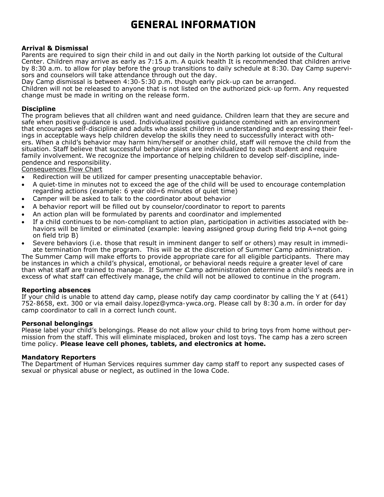# **GENERAL INFORMATION**

#### **Arrival & Dismissal**

Parents are required to sign their child in and out daily in the North parking lot outside of the Cultural Center. Children may arrive as early as 7:15 a.m. A quick health It is recommended that children arrive by 8:30 a.m. to allow for play before the group transitions to daily schedule at 8:30. Day Camp supervisors and counselors will take attendance through out the day.

Day Camp dismissal is between 4:30-5:30 p.m. though early pick-up can be arranged. Children will not be released to anyone that is not listed on the authorized pick-up form. Any requested change must be made in writing on the release form.

#### **Discipline**

The program believes that all children want and need guidance. Children learn that they are secure and safe when positive guidance is used. Individualized positive guidance combined with an environment that encourages self-discipline and adults who assist children in understanding and expressing their feelings in acceptable ways help children develop the skills they need to successfully interact with others. When a child's behavior may harm him/herself or another child, staff will remove the child from the situation. Staff believe that successful behavior plans are individualized to each student and require family involvement. We recognize the importance of helping children to develop self-discipline, independence and responsibility.

Consequences Flow Chart

- Redirection will be utilized for camper presenting unacceptable behavior.
- A quiet-time in minutes not to exceed the age of the child will be used to encourage contemplation regarding actions (example: 6 year old=6 minutes of quiet time)
- Camper will be asked to talk to the coordinator about behavior
- A behavior report will be filled out by counselor/coordinator to report to parents
- An action plan will be formulated by parents and coordinator and implemented
- If a child continues to be non-compliant to action plan, participation in activities associated with behaviors will be limited or eliminated (example: leaving assigned group during field trip A=not going on field trip B)
- Severe behaviors (i.e. those that result in imminent danger to self or others) may result in immediate termination from the program. This will be at the discretion of Summer Camp administration.

The Summer Camp will make efforts to provide appropriate care for all eligible participants. There may be instances in which a child's physical, emotional, or behavioral needs require a greater level of care than what staff are trained to manage. If Summer Camp administration determine a child's needs are in excess of what staff can effectively manage, the child will not be allowed to continue in the program.

#### **Reporting absences**

If your child is unable to attend day camp, please notify day camp coordinator by calling the Y at (641) 752-8658, ext. 300 or via email daisy.lopez@ymca-ywca.org. Please call by 8:30 a.m. in order for day camp coordinator to call in a correct lunch count.

#### **Personal belongings**

Please label your child's belongings. Please do not allow your child to bring toys from home without permission from the staff. This will eliminate misplaced, broken and lost toys. The camp has a zero screen time policy. **Please leave cell phones, tablets, and electronics at home.** 

#### **Mandatory Reporters**

The Department of Human Services requires summer day camp staff to report any suspected cases of sexual or physical abuse or neglect, as outlined in the Iowa Code.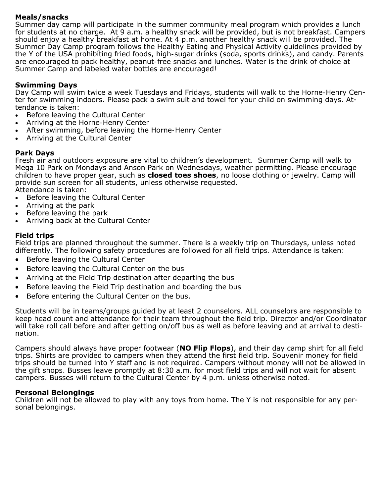# **Meals/snacks**

Summer day camp will participate in the summer community meal program which provides a lunch for students at no charge. At 9 a.m. a healthy snack will be provided, but is not breakfast. Campers should enjoy a healthy breakfast at home. At 4 p.m. another healthy snack will be provided. The Summer Day Camp program follows the Healthy Eating and Physical Activity guidelines provided by the Y of the USA prohibiting fried foods, high-sugar drinks (soda, sports drinks), and candy. Parents are encouraged to pack healthy, peanut-free snacks and lunches. Water is the drink of choice at Summer Camp and labeled water bottles are encouraged!

# **Swimming Days**

Day Camp will swim twice a week Tuesdays and Fridays, students will walk to the Horne-Henry Center for swimming indoors. Please pack a swim suit and towel for your child on swimming days. Attendance is taken:

- Before leaving the Cultural Center
- Arriving at the Horne-Henry Center
- After swimming, before leaving the Horne-Henry Center
- Arriving at the Cultural Center

# **Park Days**

Fresh air and outdoors exposure are vital to children's development. Summer Camp will walk to Mega 10 Park on Mondays and Anson Park on Wednesdays, weather permitting. Please encourage children to have proper gear, such as **closed toes shoes**, no loose clothing or jewelry. Camp will provide sun screen for all students, unless otherwise requested. Attendance is taken:

Before leaving the Cultural Center

- Arriving at the park
- Before leaving the park
- Arriving back at the Cultural Center

# **Field trips**

Field trips are planned throughout the summer. There is a weekly trip on Thursdays, unless noted differently. The following safety procedures are followed for all field trips. Attendance is taken:

- Before leaving the Cultural Center
- Before leaving the Cultural Center on the bus
- Arriving at the Field Trip destination after departing the bus
- Before leaving the Field Trip destination and boarding the bus
- Before entering the Cultural Center on the bus.

Students will be in teams/groups guided by at least 2 counselors. ALL counselors are responsible to keep head count and attendance for their team throughout the field trip. Director and/or Coordinator will take roll call before and after getting on/off bus as well as before leaving and at arrival to destination.

Campers should always have proper footwear (**NO Flip Flops**), and their day camp shirt for all field trips. Shirts are provided to campers when they attend the first field trip. Souvenir money for field trips should be turned into Y staff and is not required. Campers without money will not be allowed in the gift shops. Busses leave promptly at 8:30 a.m. for most field trips and will not wait for absent campers. Busses will return to the Cultural Center by 4 p.m. unless otherwise noted.

# **Personal Belongings**

Children will not be allowed to play with any toys from home. The Y is not responsible for any personal belongings.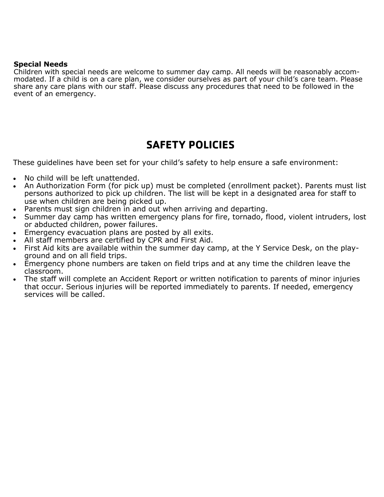# **Special Needs**

Children with special needs are welcome to summer day camp. All needs will be reasonably accommodated. If a child is on a care plan, we consider ourselves as part of your child's care team. Please share any care plans with our staff. Please discuss any procedures that need to be followed in the event of an emergency.

# **SAFETY POLICIES**

These guidelines have been set for your child's safety to help ensure a safe environment:

- No child will be left unattended.
- An Authorization Form (for pick up) must be completed (enrollment packet). Parents must list persons authorized to pick up children. The list will be kept in a designated area for staff to use when children are being picked up.
- Parents must sign children in and out when arriving and departing.
- Summer day camp has written emergency plans for fire, tornado, flood, violent intruders, lost or abducted children, power failures.
- Emergency evacuation plans are posted by all exits.
- All staff members are certified by CPR and First Aid.
- First Aid kits are available within the summer day camp, at the Y Service Desk, on the playground and on all field trips.
- Emergency phone numbers are taken on field trips and at any time the children leave the classroom.
- The staff will complete an Accident Report or written notification to parents of minor injuries that occur. Serious injuries will be reported immediately to parents. If needed, emergency services will be called.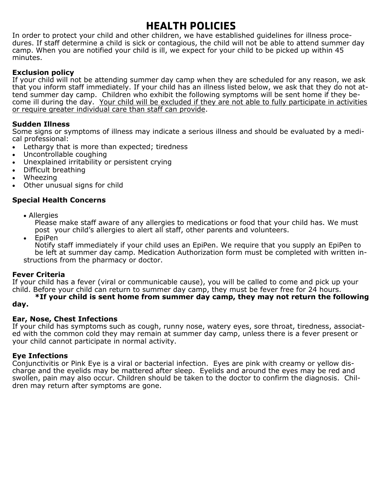# **HEALTH POLICIES**

In order to protect your child and other children, we have established guidelines for illness procedures. If staff determine a child is sick or contagious, the child will not be able to attend summer day camp. When you are notified your child is ill, we expect for your child to be picked up within 45 minutes.

# **Exclusion policy**

If your child will not be attending summer day camp when they are scheduled for any reason, we ask that you inform staff immediately. If your child has an illness listed below, we ask that they do not attend summer day camp. Children who exhibit the following symptoms will be sent home if they become ill during the day. Your child will be excluded if they are not able to fully participate in activities or require greater individual care than staff can provide.

# **Sudden Illness**

Some signs or symptoms of illness may indicate a serious illness and should be evaluated by a medical professional:

- Lethargy that is more than expected; tiredness
- Uncontrollable coughing
- Unexplained irritability or persistent crying
- Difficult breathing
- Wheezing
- Other unusual signs for child

# **Special Health Concerns**

• Allergies

Please make staff aware of any allergies to medications or food that your child has. We must post your child's allergies to alert all staff, other parents and volunteers.

• EpiPen

 Notify staff immediately if your child uses an EpiPen. We require that you supply an EpiPen to be left at summer day camp. Medication Authorization form must be completed with written instructions from the pharmacy or doctor.

# **Fever Criteria**

If your child has a fever (viral or communicable cause), you will be called to come and pick up your child. Before your child can return to summer day camp, they must be fever free for 24 hours.

**\*If your child is sent home from summer day camp, they may not return the following day.** 

# **Ear, Nose, Chest Infections**

If your child has symptoms such as cough, runny nose, watery eyes, sore throat, tiredness, associated with the common cold they may remain at summer day camp, unless there is a fever present or your child cannot participate in normal activity.

# **Eye Infections**

Conjunctivitis or Pink Eye is a viral or bacterial infection. Eyes are pink with creamy or yellow discharge and the eyelids may be mattered after sleep. Eyelids and around the eyes may be red and swollen, pain may also occur. Children should be taken to the doctor to confirm the diagnosis. Children may return after symptoms are gone.